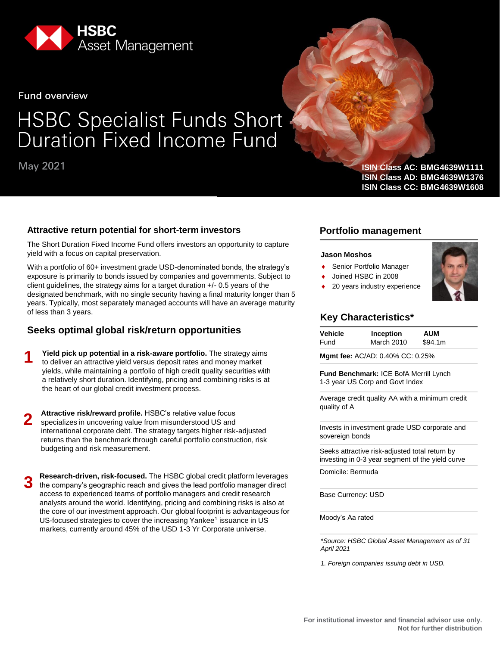

**Fund overview** 

# **HSBC Specialist Funds Short<br>Duration Fixed Income Fund**

# **May 2021**

#### **Attractive return potential for short-term investors**

The Short Duration Fixed Income Fund offers investors an opportunity to capture yield with a focus on capital preservation.

With a portfolio of 60+ investment grade USD-denominated bonds, the strategy's exposure is primarily to bonds issued by companies and governments. Subject to client guidelines, the strategy aims for a target duration +/- 0.5 years of the designated benchmark, with no single security having a final maturity longer than 5 years. Typically, most separately managed accounts will have an average maturity of less than 3 years.

#### **Seeks optimal global risk/return opportunities**

**Yield pick up potential in a risk-aware portfolio.** The strategy aims to deliver an attractive yield versus deposit rates and money market yields, while maintaining a portfolio of high credit quality securities with a relatively short duration. Identifying, pricing and combining risks is at the heart of our global credit investment process. **1**

**Attractive risk/reward profile.** HSBC's relative value focus specializes in uncovering value from misunderstood US and international corporate debt. The strategy targets higher risk-adjusted returns than the benchmark through careful portfolio construction, risk budgeting and risk measurement. **2**

**Research-driven, risk-focused.** The HSBC global credit platform leverages the company's geographic reach and gives the lead portfolio manager direct access to experienced teams of portfolio managers and credit research analysts around the world. Identifying, pricing and combining risks is also at the core of our investment approach. Our global footprint is advantageous for US-focused strategies to cover the increasing Yankee<sup>1</sup> issuance in US markets, currently around 45% of the USD 1-3 Yr Corporate universe. **3**

#### **ISIN Class AC: BMG4639W1111 ISIN Class AD: BMG4639W1376 ISIN Class CC: BMG4639W1608**

#### **Portfolio management**

#### **Jason Moshos**

- Senior Portfolio Manager
- Joined HSBC in 2008
- 20 years industry experience



#### **Key Characteristics\***

| Vehicle | Inception  | <b>AUM</b> |
|---------|------------|------------|
| Fund    | March 2010 | \$94.1m    |

**Mgmt fee:** AC/AD: 0.40% CC: 0.25%

**Fund Benchmark:** ICE BofA Merrill Lynch 1-3 year US Corp and Govt Index

Average credit quality AA with a minimum credit quality of A

Invests in investment grade USD corporate and sovereign bonds

Seeks attractive risk-adjusted total return by investing in 0-3 year segment of the yield curve

Domicile: Bermuda

Base Currency: USD

Moody's Aa rated

*\*Source: HSBC Global Asset Management as of 31 April 2021* 

*1. Foreign companies issuing debt in USD.*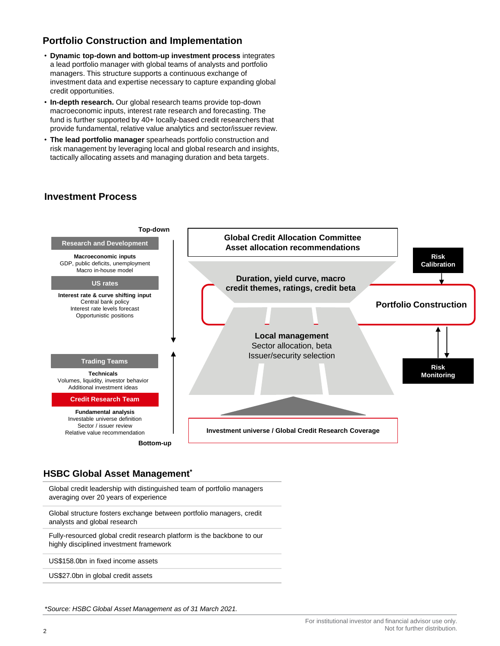# **Portfolio Construction and Implementation**

- **Dynamic top-down and bottom-up investment process** integrates a lead portfolio manager with global teams of analysts and portfolio managers. This structure supports a continuous exchange of investment data and expertise necessary to capture expanding global credit opportunities.
- **In-depth research.** Our global research teams provide top-down macroeconomic inputs, interest rate research and forecasting. The fund is further supported by 40+ locally-based credit researchers that provide fundamental, relative value analytics and sector/issuer review.
- **The lead portfolio manager** spearheads portfolio construction and risk management by leveraging local and global research and insights, tactically allocating assets and managing duration and beta targets.

#### **Investment Process**



#### **HSBC Global Asset Management\***

Global credit leadership with distinguished team of portfolio managers averaging over 20 years of experience

Global structure fosters exchange between portfolio managers, credit analysts and global research

Fully-resourced global credit research platform is the backbone to our highly disciplined investment framework

US\$158.0bn in fixed income assets

US\$27.0bn in global credit assets

*\*Source: HSBC Global Asset Management as of 31 March 2021.*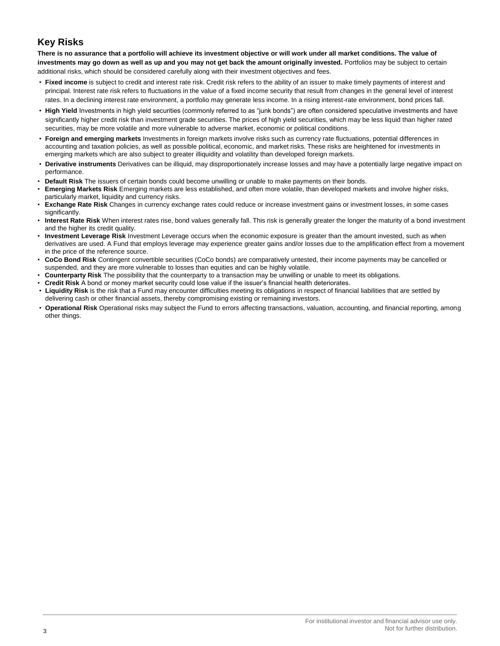# **Key Risks**

**There is no assurance that a portfolio will achieve its investment objective or will work under all market conditions. The value of investments may go down as well as up and you may not get back the amount originally invested.** Portfolios may be subject to certain additional risks, which should be considered carefully along with their investment objectives and fees.

- **Fixed income** is subject to credit and interest rate risk. Credit risk refers to the ability of an issuer to make timely payments of interest and principal. Interest rate risk refers to fluctuations in the value of a fixed income security that result from changes in the general level of interest rates. In a declining interest rate environment, a portfolio may generate less income. In a rising interest-rate environment, bond prices fall.
- **High Yield** Investments in high yield securities (commonly referred to as "junk bonds") are often considered speculative investments and have significantly higher credit risk than investment grade securities. The prices of high yield securities, which may be less liquid than higher rated securities, may be more volatile and more vulnerable to adverse market, economic or political conditions.
- **Foreign and emerging markets** Investments in foreign markets involve risks such as currency rate fluctuations, potential differences in accounting and taxation policies, as well as possible political, economic, and market risks. These risks are heightened for investments in emerging markets which are also subject to greater illiquidity and volatility than developed foreign markets.
- **Derivative instruments** Derivatives can be illiquid, may disproportionately increase losses and may have a potentially large negative impact on performance.
- **Default Risk** The issuers of certain bonds could become unwilling or unable to make payments on their bonds.
- **Emerging Markets Risk** Emerging markets are less established, and often more volatile, than developed markets and involve higher risks, particularly market, liquidity and currency risks.
- **Exchange Rate Risk** Changes in currency exchange rates could reduce or increase investment gains or investment losses, in some cases significantly.
- **Interest Rate Risk** When interest rates rise, bond values generally fall. This risk is generally greater the longer the maturity of a bond investment and the higher its credit quality.
- **Investment Leverage Risk** Investment Leverage occurs when the economic exposure is greater than the amount invested, such as when derivatives are used. A Fund that employs leverage may experience greater gains and/or losses due to the amplification effect from a movement in the price of the reference source.
- **CoCo Bond Risk** Contingent convertible securities (CoCo bonds) are comparatively untested, their income payments may be cancelled or suspended, and they are more vulnerable to losses than equities and can be highly volatile.
- **Counterparty Risk** The possibility that the counterparty to a transaction may be unwilling or unable to meet its obligations.
- **Credit Risk** A bond or money market security could lose value if the issuer's financial health deteriorates. • **Liquidity Risk** is the risk that a Fund may encounter difficulties meeting its obligations in respect of financial liabilities that are settled by delivering cash or other financial assets, thereby compromising existing or remaining investors.
- **Operational Risk** Operational risks may subject the Fund to errors affecting transactions, valuation, accounting, and financial reporting, among other things.